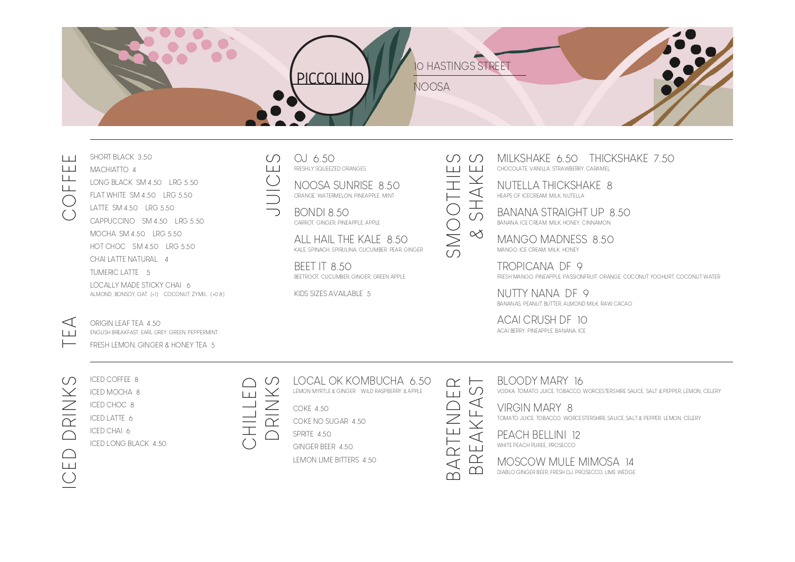## 10 HASTINGS STREET PICCOLINO **NOOSA**

# COFFEE

LONG BLACK SM 4.50 LRG 5.50

SHORT BLACK 3.50 MACHIATTO 4

- FLAT WHITE SM 4.50 LRG 5.50
- LATTE SM 4.50 LRG 5.50 CAPPUCCINO SM 4.50 LRG 5.50 MOCHA SM 4.50 LRG 5.50 HOT CHOC SM 4.50 LRG 5.50 CHAI LATTE NATURAL 4

TUMERIC LATTE 5 LOCALLY MADE STICKY CHAI 6 ALMOND, BONSOY, OAT (+1) COCONUT, ZYMIL (+0.8)

ENGLISH BREAKFAST, EARL GREY, GREEN, PEPPERMINT FRESH LEMON, GINGER & HONEY TEA 5

#### OJ 6.50 FRESHLY SQUEEZED ORANGES  $1+1$

NOOSA SUNRISE 8.50 ORANGE, WATERMELON, PINEAPPLE, MINT

BONDI 8.50 CARROT, GINGER, PINEAPPLE, APPLE

ALL HAIL THE KALE 8.50 KALE, SPINACH, SPIRULINA, CUCUMBER, PEAR, GINGER

BEET IT 8.50 BEETROOT, CUCUMBER, GINGER, GREEN APPLE

KIDS SIZES AVAILABLE 5

MILKSHAKE 6.50 THICKSHAKE 7.50  $($   $\cap$   $($   $\cap$ & SHAKES шш CHOCOLATE, VANILLA, STRAWBERRY, CARAMEL

SMOOTHIE<br>& SHAKE NUTELLA THICKSHAKE 8 HEAPS OF ICECREAM, MILK, NUTELLA

BANANA STRAIGHT UP 8.50 BANANA, ICE CREAM, MILK, HONEY, CINNAMON

MANGO MADNESS 8.50 MANGO, ICE CREAM, MILK. HONEY

TROPICANA DF 9 FRESH MANGO, PINEAPPLE, PASSIONFRUIT, ORANGE, COCONUT YOGHURT, COCONUT WATER

NUTTY NANA DF 9 BANANAS, PEANUT BUTTER, ALMOND MILK, RAW CACAO

ACAI CRUSH DF 10 ACAI BERRY, PINEAPPLE, BANANA, ICE

## $\Omega$ ICED COFFEE 8 ICED DRINKS ORINK OHO

 $\subset$ 

ICED MOCHA 8 ICED CHOC 8 ICED LATTE 6 ICED CHAI 6

ORIGIN LEAF TEA 4.50

ICED LONG BLACK 4.50

CHILLED  $\perp$ **THIFC** 

<u>LOCAL OK KOMBUCHA 6.50</u><br>EMON MYRTLE & GINGER WILD RASPBERRY & APPLE<br>COKE 4.50<br>COKE NO SUGAR 4.50 LEMON MYRTLE & GINGER WILD RASPBERRY & APPLE

COKE 4.50

COKE NO SUGAR 4.50

SPRITE 4.50

GINGER BEER 4.50

LEMON LIME BITTERS 4.50



SMOOTHIES

BLOODY MARY 16 VODKA, TOMATO JUICE, TOBACCO, WORCESTERSHIRE SAUCE, SALT & PEPPER, LEMON, CELERY

VIRGIN MARY 8 TOMATO JUICE, TOBACCO, WORCESTERSHIRE SAUCE, SALT & PEPPER, LEMON, CELERY

PEACH BELLINI 12 WHITE PEACH PUREE, PROSECCO

MOSCOW MULE MIMOSA 14 DIABLO GINGER BEER, FRESH OJ, PROSECCO, LIME WEDGE